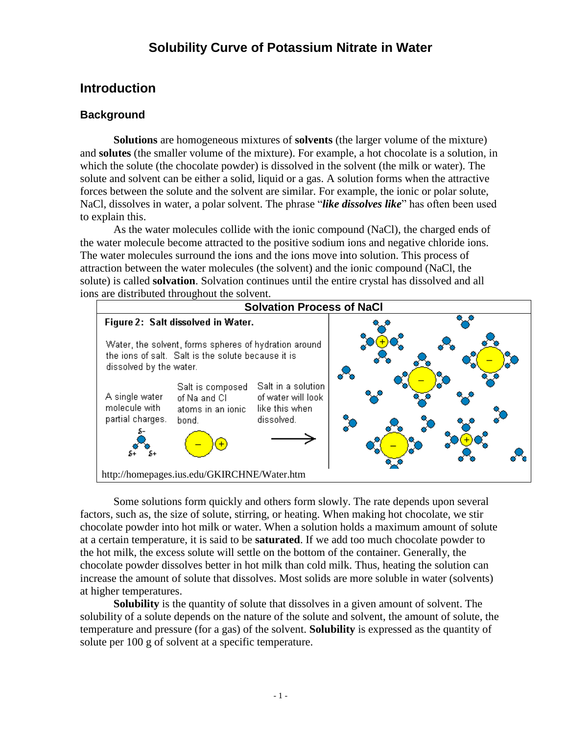# **Solubility Curve of Potassium Nitrate in Water**

## **Introduction**

#### **Background**

**Solutions** are homogeneous mixtures of **solvents** (the larger volume of the mixture) and **solutes** (the smaller volume of the mixture). For example, a hot chocolate is a solution, in which the solute (the chocolate powder) is dissolved in the solvent (the milk or water). The solute and solvent can be either a solid, liquid or a gas. A solution forms when the attractive forces between the solute and the solvent are similar. For example, the ionic or polar solute, NaCl, dissolves in water, a polar solvent. The phrase "*like dissolves like*" has often been used to explain this.

As the water molecules collide with the ionic compound (NaCl), the charged ends of the water molecule become attracted to the positive sodium ions and negative chloride ions. The water molecules surround the ions and the ions move into solution. This process of attraction between the water molecules (the solvent) and the ionic compound (NaCl, the solute) is called **solvation**. Solvation continues until the entire crystal has dissolved and all ions are distributed throughout the solvent.



Some solutions form quickly and others form slowly. The rate depends upon several factors, such as, the size of solute, stirring, or heating. When making hot chocolate, we stir chocolate powder into hot milk or water. When a solution holds a maximum amount of solute at a certain temperature, it is said to be **saturated**. If we add too much chocolate powder to the hot milk, the excess solute will settle on the bottom of the container. Generally, the chocolate powder dissolves better in hot milk than cold milk. Thus, heating the solution can increase the amount of solute that dissolves. Most solids are more soluble in water (solvents) at higher temperatures.

**Solubility** is the quantity of solute that dissolves in a given amount of solvent. The solubility of a solute depends on the nature of the solute and solvent, the amount of solute, the temperature and pressure (for a gas) of the solvent. **Solubility** is expressed as the quantity of solute per 100 g of solvent at a specific temperature.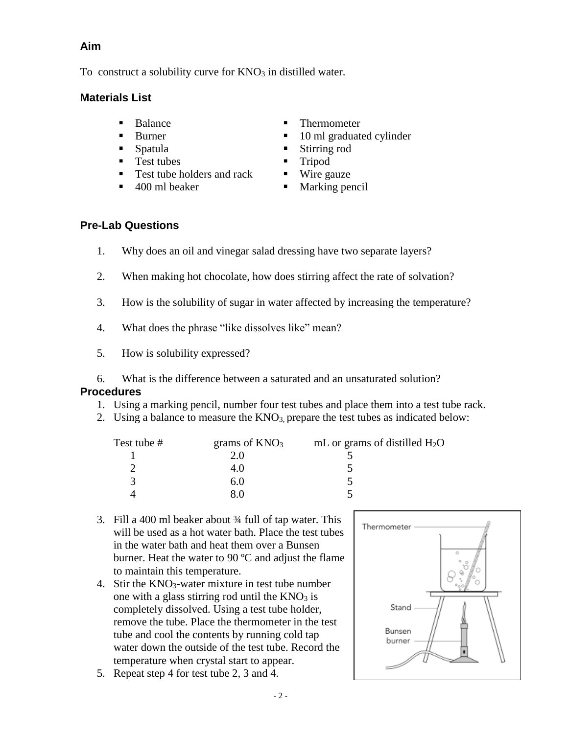#### **Aim**

To construct a solubility curve for  $KNO<sub>3</sub>$  in distilled water.

#### **Materials List**

- 
- 
- 
- Test tubes Tripod
- Test tube holders and rack  $\blacksquare$  Wire gauze
- 
- Balance **Thermometer**
- Burner 10 ml graduated cylinder
- Spatula Spatula Stirring rod
	-
	-
	- 400 ml beaker Marking pencil

## **Pre-Lab Questions**

- 1. Why does an oil and vinegar salad dressing have two separate layers?
- 2. When making hot chocolate, how does stirring affect the rate of solvation?
- 3. How is the solubility of sugar in water affected by increasing the temperature?
- 4. What does the phrase "like dissolves like" mean?
- 5. How is solubility expressed?
- 6. What is the difference between a saturated and an unsaturated solution?

#### **Procedures**

- 1. Using a marking pencil, number four test tubes and place them into a test tube rack.
- 2. Using a balance to measure the  $KNO<sub>3</sub>$ , prepare the test tubes as indicated below:

| grams of $KNO3$ | mL or grams of distilled $H_2O$ |
|-----------------|---------------------------------|
| 2.0             |                                 |
| 4.0             |                                 |
| 6.V             |                                 |
|                 |                                 |
|                 |                                 |

- 3. Fill a 400 ml beaker about ¾ full of tap water. This will be used as a hot water bath. Place the test tubes in the water bath and heat them over a Bunsen burner. Heat the water to 90 ºC and adjust the flame to maintain this temperature.
- 4. Stir the KNO3-water mixture in test tube number one with a glass stirring rod until the  $KNO<sub>3</sub>$  is completely dissolved. Using a test tube holder, remove the tube. Place the thermometer in the test tube and cool the contents by running cold tap water down the outside of the test tube. Record the temperature when crystal start to appear.
- 5. Repeat step 4 for test tube 2, 3 and 4.

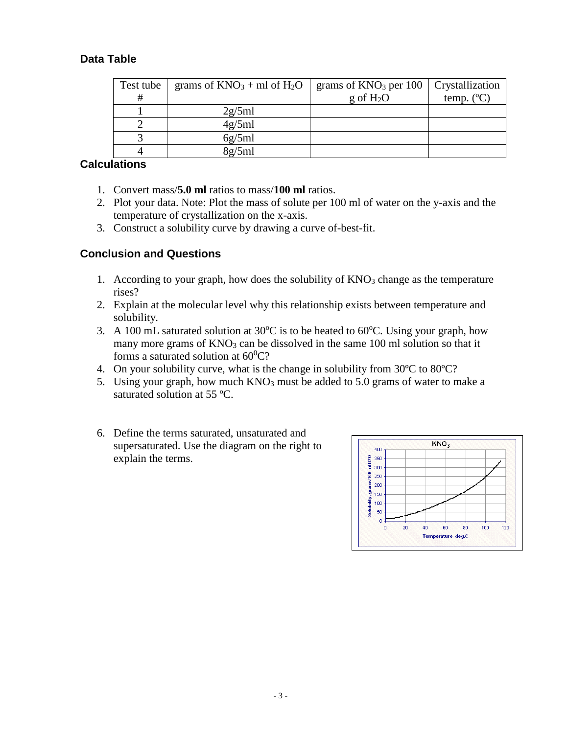## **Data Table**

| Test tube | grams of $KNO_3 + ml$ of $H_2O$ | grams of $KNO3$ per 100 | Crystallization     |
|-----------|---------------------------------|-------------------------|---------------------|
| #         |                                 | $g \text{ of } H_2O$    | temp. $(^{\circ}C)$ |
|           | 2g/5ml                          |                         |                     |
|           | 4g/5ml                          |                         |                     |
|           | 6g/5ml                          |                         |                     |
|           | 8g/5ml                          |                         |                     |

#### **Calculations**

- 1. Convert mass/**5.0 ml** ratios to mass/**100 ml** ratios.
- 2. Plot your data. Note: Plot the mass of solute per 100 ml of water on the y-axis and the temperature of crystallization on the x-axis.
- 3. Construct a solubility curve by drawing a curve of-best-fit.

## **Conclusion and Questions**

- 1. According to your graph, how does the solubility of  $KNO<sub>3</sub>$  change as the temperature rises?
- 2. Explain at the molecular level why this relationship exists between temperature and solubility.
- 3. A 100 mL saturated solution at  $30^{\circ}$ C is to be heated to 60 $^{\circ}$ C. Using your graph, how many more grams of  $KNO_3$  can be dissolved in the same 100 ml solution so that it forms a saturated solution at  $60^0C$ ?
- 4. On your solubility curve, what is the change in solubility from 30ºC to 80ºC?
- 5. Using your graph, how much  $KNO_3$  must be added to 5.0 grams of water to make a saturated solution at 55 ºC.
- 6. Define the terms saturated, unsaturated and supersaturated. Use the diagram on the right to explain the terms.

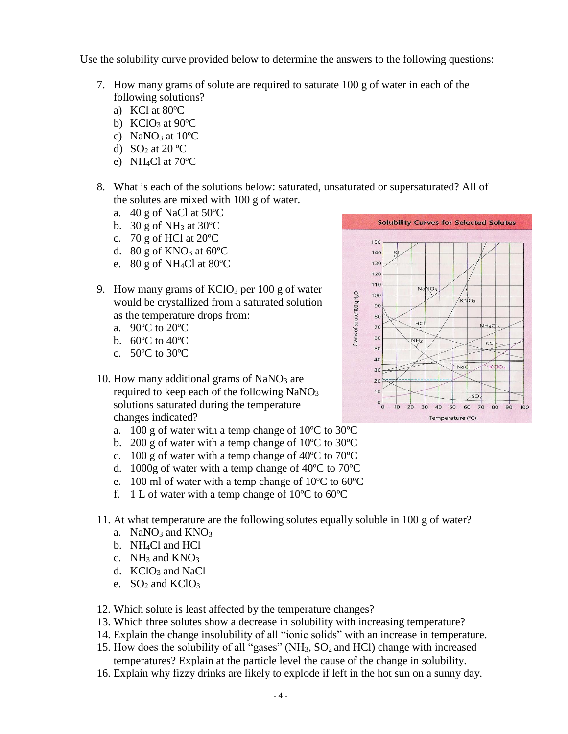Use the solubility curve provided below to determine the answers to the following questions:

- 7. How many grams of solute are required to saturate 100 g of water in each of the following solutions?
	- a) KCl at 80ºC
	- b)  $KCIO<sub>3</sub>$  at  $90°C$
	- c) NaNO<sub>3</sub> at  $10^{\circ}$ C
	- d)  $SO<sub>2</sub>$  at 20 °C
	- e) NH4Cl at 70ºC
- 8. What is each of the solutions below: saturated, unsaturated or supersaturated? All of the solutes are mixed with 100 g of water.
	- a.  $40 \text{ g of NaCl at } 50^{\circ}\text{C}$
	- b. 30 g of NH<sub>3</sub> at  $30^{\circ}$ C
	- c.  $70 \text{ g}$  of HCl at  $20^{\circ}$ C
	- d. 80 g of  $KNO_3$  at 60 $^{\circ}$ C
	- e. 80 g of NH4Cl at 80ºC
- 9. How many grams of  $KClO<sub>3</sub>$  per 100 g of water would be crystallized from a saturated solution as the temperature drops from:
	- a. 90ºC to 20ºC
	- b. 60ºC to 40ºC
	- c. 50ºC to 30ºC
- 10. How many additional grams of  $NaNO<sub>3</sub>$  are required to keep each of the following NaNO<sub>3</sub> solutions saturated during the temperature changes indicated?
	- a. 100 g of water with a temp change of 10ºC to 30ºC
	- b. 200 g of water with a temp change of 10ºC to 30ºC
	- c. 100 g of water with a temp change of 40ºC to 70ºC
	- d. 1000g of water with a temp change of 40ºC to 70ºC
	- e. 100 ml of water with a temp change of 10ºC to 60ºC
	- f. 1 L of water with a temp change of  $10^{\circ}$ C to 60 $^{\circ}$ C
- 11. At what temperature are the following solutes equally soluble in 100 g of water?
	- a. NaNO<sub>3</sub> and  $KNO<sub>3</sub>$
	- b. NH4Cl and HCl
	- c.  $NH_3$  and  $KNO_3$
	- d.  $KCIO<sub>3</sub>$  and NaCl
	- e.  $SO<sub>2</sub>$  and KClO<sub>3</sub>
- 12. Which solute is least affected by the temperature changes?
- 13. Which three solutes show a decrease in solubility with increasing temperature?
- 14. Explain the change insolubility of all "ionic solids" with an increase in temperature.
- 15. How does the solubility of all "gases"  $(NH_3, SO_2)$  and HCl) change with increased temperatures? Explain at the particle level the cause of the change in solubility.
- 16. Explain why fizzy drinks are likely to explode if left in the hot sun on a sunny day.